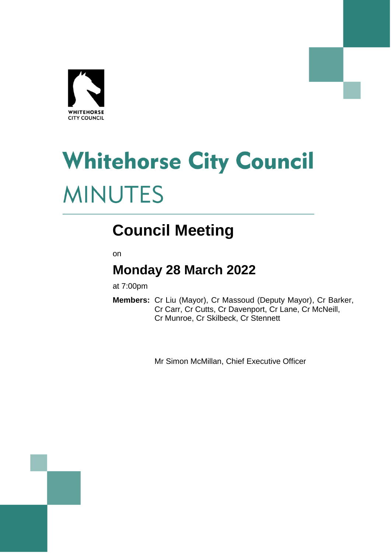

# **Whitehorse City Council MINUTES**

# **Council Meeting**

on

# **Monday 28 March 2022**

at 7:00pm

**Members:** Cr Liu (Mayor), Cr Massoud (Deputy Mayor), Cr Barker, Cr Carr, Cr Cutts, Cr Davenport, Cr Lane, Cr McNeill, Cr Munroe, Cr Skilbeck, Cr Stennett

Mr Simon McMillan, Chief Executive Officer

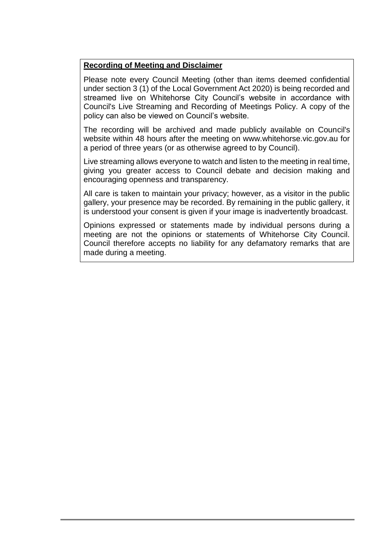#### **Recording of Meeting and Disclaimer**

Please note every Council Meeting (other than items deemed confidential under section 3 (1) of the Local Government Act 2020) is being recorded and streamed live on Whitehorse City Council's website in accordance with Council's Live Streaming and Recording of Meetings Policy. A copy of the policy can also be viewed on Council's website.

The recording will be archived and made publicly available on Council's website within 48 hours after the meeting on www.whitehorse.vic.gov.au for a period of three years (or as otherwise agreed to by Council).

Live streaming allows everyone to watch and listen to the meeting in real time, giving you greater access to Council debate and decision making and encouraging openness and transparency.

All care is taken to maintain your privacy; however, as a visitor in the public gallery, your presence may be recorded. By remaining in the public gallery, it is understood your consent is given if your image is inadvertently broadcast.

Opinions expressed or statements made by individual persons during a meeting are not the opinions or statements of Whitehorse City Council. Council therefore accepts no liability for any defamatory remarks that are made during a meeting.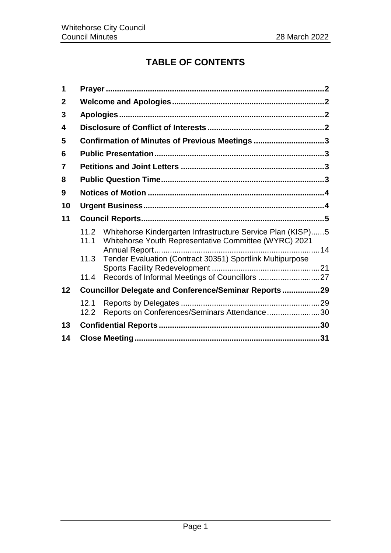# **TABLE OF CONTENTS**

| 1            |                                                |                                                                                                                      |  |  |
|--------------|------------------------------------------------|----------------------------------------------------------------------------------------------------------------------|--|--|
| $\mathbf{2}$ |                                                |                                                                                                                      |  |  |
| 3            |                                                |                                                                                                                      |  |  |
| 4            |                                                |                                                                                                                      |  |  |
| 5            | Confirmation of Minutes of Previous Meetings 3 |                                                                                                                      |  |  |
| 6            |                                                |                                                                                                                      |  |  |
| 7            |                                                |                                                                                                                      |  |  |
| 8            |                                                |                                                                                                                      |  |  |
| 9            |                                                |                                                                                                                      |  |  |
| 10           |                                                |                                                                                                                      |  |  |
| 11           |                                                |                                                                                                                      |  |  |
|              | 11.2<br>11.1                                   | Whitehorse Kindergarten Infrastructure Service Plan (KISP)5<br>Whitehorse Youth Representative Committee (WYRC) 2021 |  |  |
|              | 11.3                                           | Tender Evaluation (Contract 30351) Sportlink Multipurpose                                                            |  |  |
|              | 11.4                                           |                                                                                                                      |  |  |
| 12           |                                                | Councillor Delegate and Conference/Seminar Reports29                                                                 |  |  |
|              | 12.1<br>12.2                                   | Reports on Conferences/Seminars Attendance30                                                                         |  |  |
| 13           |                                                |                                                                                                                      |  |  |
| 14           |                                                |                                                                                                                      |  |  |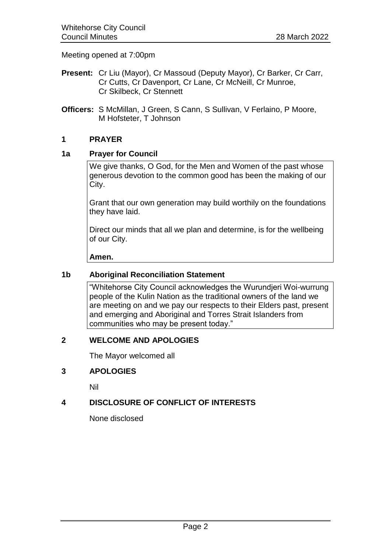Meeting opened at 7:00pm

- **Present:** Cr Liu (Mayor), Cr Massoud (Deputy Mayor), Cr Barker, Cr Carr, Cr Cutts, Cr Davenport, Cr Lane, Cr McNeill, Cr Munroe, Cr Skilbeck, Cr Stennett
- **Officers:** S McMillan, J Green, S Cann, S Sullivan, V Ferlaino, P Moore, M Hofsteter, T Johnson

#### <span id="page-3-0"></span>**1 PRAYER**

#### **1a Prayer for Council**

We give thanks, O God, for the Men and Women of the past whose generous devotion to the common good has been the making of our City.

Grant that our own generation may build worthily on the foundations they have laid.

Direct our minds that all we plan and determine, is for the wellbeing of our City.

**Amen.**

#### **1b Aboriginal Reconciliation Statement**

"Whitehorse City Council acknowledges the Wurundjeri Woi-wurrung people of the Kulin Nation as the traditional owners of the land we are meeting on and we pay our respects to their Elders past, present and emerging and Aboriginal and Torres Strait Islanders from communities who may be present today."

#### <span id="page-3-1"></span>**2 WELCOME AND APOLOGIES**

The Mayor welcomed all

#### <span id="page-3-2"></span>**3 APOLOGIES**

Nil

#### <span id="page-3-3"></span>**4 DISCLOSURE OF CONFLICT OF INTERESTS**

None disclosed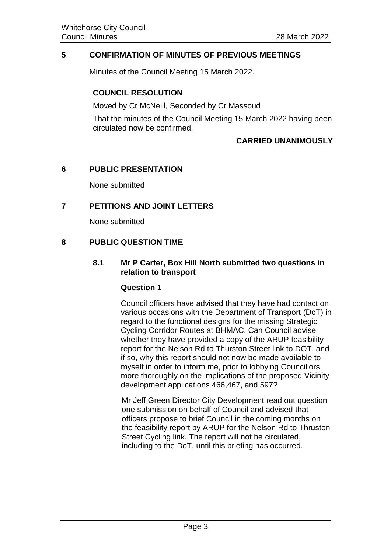#### <span id="page-4-0"></span>**5 CONFIRMATION OF MINUTES OF PREVIOUS MEETINGS**

Minutes of the Council Meeting 15 March 2022.

#### **COUNCIL RESOLUTION**

Moved by Cr McNeill, Seconded by Cr Massoud

That the minutes of the Council Meeting 15 March 2022 having been circulated now be confirmed.

#### **CARRIED UNANIMOUSLY**

#### <span id="page-4-1"></span>**6 PUBLIC PRESENTATION**

None submitted

#### <span id="page-4-2"></span>**7 PETITIONS AND JOINT LETTERS**

None submitted

#### <span id="page-4-3"></span>**8 PUBLIC QUESTION TIME**

**8.1 Mr P Carter, Box Hill North submitted two questions in relation to transport**

#### **Question 1**

Council officers have advised that they have had contact on various occasions with the Department of Transport (DoT) in regard to the functional designs for the missing Strategic Cycling Corridor Routes at BHMAC. Can Council advise whether they have provided a copy of the ARUP feasibility report for the Nelson Rd to Thurston Street link to DOT, and if so, why this report should not now be made available to myself in order to inform me, prior to lobbying Councillors more thoroughly on the implications of the proposed Vicinity development applications 466,467, and 597?

Mr Jeff Green Director City Development read out question one submission on behalf of Council and advised that officers propose to brief Council in the coming months on the feasibility report by ARUP for the Nelson Rd to Thruston Street Cycling link. The report will not be circulated, including to the DoT, until this briefing has occurred.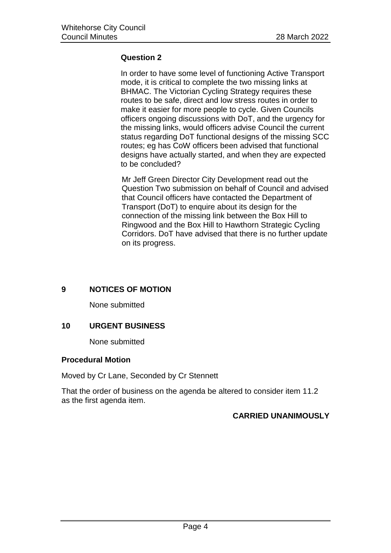#### **Question 2**

In order to have some level of functioning Active Transport mode, it is critical to complete the two missing links at BHMAC. The Victorian Cycling Strategy requires these routes to be safe, direct and low stress routes in order to make it easier for more people to cycle. Given Councils officers ongoing discussions with DoT, and the urgency for the missing links, would officers advise Council the current status regarding DoT functional designs of the missing SCC routes; eg has CoW officers been advised that functional designs have actually started, and when they are expected to be concluded?

Mr Jeff Green Director City Development read out the Question Two submission on behalf of Council and advised that Council officers have contacted the Department of Transport (DoT) to enquire about its design for the connection of the missing link between the Box Hill to Ringwood and the Box Hill to Hawthorn Strategic Cycling Corridors. DoT have advised that there is no further update on its progress.

#### <span id="page-5-0"></span>**9 NOTICES OF MOTION**

None submitted

#### <span id="page-5-1"></span>**10 URGENT BUSINESS**

None submitted

#### **Procedural Motion**

Moved by Cr Lane, Seconded by Cr Stennett

That the order of business on the agenda be altered to consider item 11.2 as the first agenda item.

#### **CARRIED UNANIMOUSLY**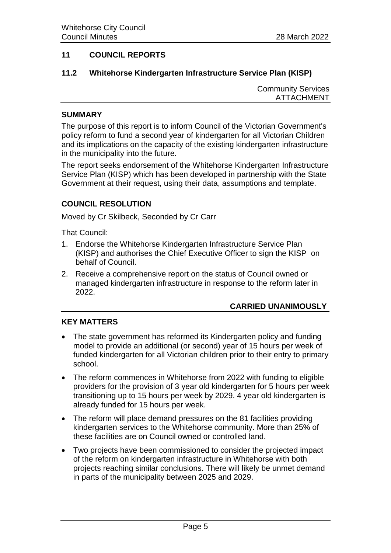#### <span id="page-6-0"></span>**11 COUNCIL REPORTS**

#### <span id="page-6-1"></span>**11.2 Whitehorse Kindergarten Infrastructure Service Plan (KISP)**

Community Services ATTACHMENT

#### **SUMMARY**

The purpose of this report is to inform Council of the Victorian Government's policy reform to fund a second year of kindergarten for all Victorian Children and its implications on the capacity of the existing kindergarten infrastructure in the municipality into the future.

The report seeks endorsement of the Whitehorse Kindergarten Infrastructure Service Plan (KISP) which has been developed in partnership with the State Government at their request, using their data, assumptions and template.

#### **COUNCIL RESOLUTION**

Moved by Cr Skilbeck, Seconded by Cr Carr

That Council:

- 1. Endorse the Whitehorse Kindergarten Infrastructure Service Plan (KISP) and authorises the Chief Executive Officer to sign the KISP on behalf of Council.
- 2. Receive a comprehensive report on the status of Council owned or managed kindergarten infrastructure in response to the reform later in 2022.

#### **CARRIED UNANIMOUSLY**

#### **KEY MATTERS**

- The state government has reformed its Kindergarten policy and funding model to provide an additional (or second) year of 15 hours per week of funded kindergarten for all Victorian children prior to their entry to primary school.
- The reform commences in Whitehorse from 2022 with funding to eligible providers for the provision of 3 year old kindergarten for 5 hours per week transitioning up to 15 hours per week by 2029. 4 year old kindergarten is already funded for 15 hours per week.
- The reform will place demand pressures on the 81 facilities providing kindergarten services to the Whitehorse community. More than 25% of these facilities are on Council owned or controlled land.
- Two projects have been commissioned to consider the projected impact of the reform on kindergarten infrastructure in Whitehorse with both projects reaching similar conclusions. There will likely be unmet demand in parts of the municipality between 2025 and 2029.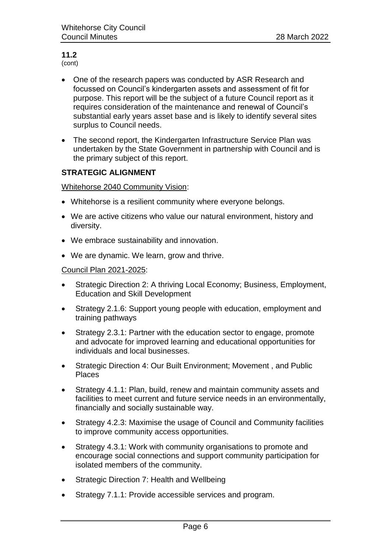(cont)

- One of the research papers was conducted by ASR Research and focussed on Council's kindergarten assets and assessment of fit for purpose. This report will be the subject of a future Council report as it requires consideration of the maintenance and renewal of Council's substantial early years asset base and is likely to identify several sites surplus to Council needs.
- The second report, the Kindergarten Infrastructure Service Plan was undertaken by the State Government in partnership with Council and is the primary subject of this report.

#### **STRATEGIC ALIGNMENT**

Whitehorse 2040 Community Vision:

- Whitehorse is a resilient community where everyone belongs.
- We are active citizens who value our natural environment, history and diversity.
- We embrace sustainability and innovation.
- We are dynamic. We learn, grow and thrive.

#### Council Plan 2021-2025:

- Strategic Direction 2: A thriving Local Economy; Business, Employment, Education and Skill Development
- Strategy 2.1.6: Support young people with education, employment and training pathways
- Strategy 2.3.1: Partner with the education sector to engage, promote and advocate for improved learning and educational opportunities for individuals and local businesses.
- Strategic Direction 4: Our Built Environment; Movement , and Public Places
- Strategy 4.1.1: Plan, build, renew and maintain community assets and facilities to meet current and future service needs in an environmentally, financially and socially sustainable way.
- Strategy 4.2.3: Maximise the usage of Council and Community facilities to improve community access opportunities.
- Strategy 4.3.1: Work with community organisations to promote and encourage social connections and support community participation for isolated members of the community.
- Strategic Direction 7: Health and Wellbeing
- Strategy 7.1.1: Provide accessible services and program.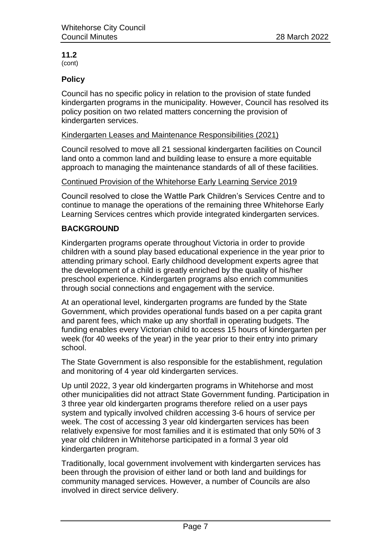(cont)

#### **Policy**

Council has no specific policy in relation to the provision of state funded kindergarten programs in the municipality. However, Council has resolved its policy position on two related matters concerning the provision of kindergarten services.

#### Kindergarten Leases and Maintenance Responsibilities (2021)

Council resolved to move all 21 sessional kindergarten facilities on Council land onto a common land and building lease to ensure a more equitable approach to managing the maintenance standards of all of these facilities.

#### Continued Provision of the Whitehorse Early Learning Service 2019

Council resolved to close the Wattle Park Children's Services Centre and to continue to manage the operations of the remaining three Whitehorse Early Learning Services centres which provide integrated kindergarten services.

### **BACKGROUND**

Kindergarten programs operate throughout Victoria in order to provide children with a sound play based educational experience in the year prior to attending primary school. Early childhood development experts agree that the development of a child is greatly enriched by the quality of his/her preschool experience. Kindergarten programs also enrich communities through social connections and engagement with the service.

At an operational level, kindergarten programs are funded by the State Government, which provides operational funds based on a per capita grant and parent fees, which make up any shortfall in operating budgets. The funding enables every Victorian child to access 15 hours of kindergarten per week (for 40 weeks of the year) in the year prior to their entry into primary school.

The State Government is also responsible for the establishment, regulation and monitoring of 4 year old kindergarten services.

Up until 2022, 3 year old kindergarten programs in Whitehorse and most other municipalities did not attract State Government funding. Participation in 3 three year old kindergarten programs therefore relied on a user pays system and typically involved children accessing 3-6 hours of service per week. The cost of accessing 3 year old kindergarten services has been relatively expensive for most families and it is estimated that only 50% of 3 year old children in Whitehorse participated in a formal 3 year old kindergarten program.

Traditionally, local government involvement with kindergarten services has been through the provision of either land or both land and buildings for community managed services. However, a number of Councils are also involved in direct service delivery.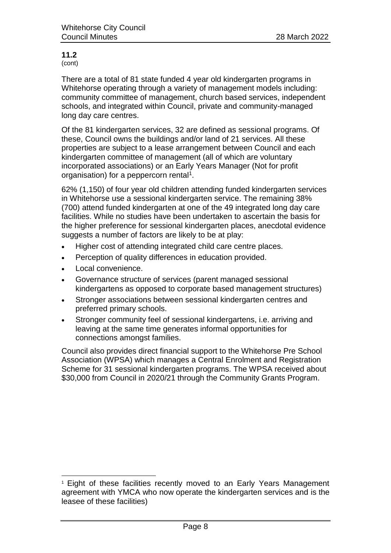(cont)

There are a total of 81 state funded 4 year old kindergarten programs in Whitehorse operating through a variety of management models including: community committee of management, church based services, independent schools, and integrated within Council, private and community-managed long day care centres.

Of the 81 kindergarten services, 32 are defined as sessional programs. Of these, Council owns the buildings and/or land of 21 services. All these properties are subject to a lease arrangement between Council and each kindergarten committee of management (all of which are voluntary incorporated associations) or an Early Years Manager (Not for profit organisation) for a peppercorn rental<sup>1</sup>.

62% (1,150) of four year old children attending funded kindergarten services in Whitehorse use a sessional kindergarten service. The remaining 38% (700) attend funded kindergarten at one of the 49 integrated long day care facilities. While no studies have been undertaken to ascertain the basis for the higher preference for sessional kindergarten places, anecdotal evidence suggests a number of factors are likely to be at play:

- Higher cost of attending integrated child care centre places.
- Perception of quality differences in education provided.
- Local convenience.

l

- Governance structure of services (parent managed sessional kindergartens as opposed to corporate based management structures)
- Stronger associations between sessional kindergarten centres and preferred primary schools.
- Stronger community feel of sessional kindergartens, i.e. arriving and leaving at the same time generates informal opportunities for connections amongst families.

Council also provides direct financial support to the Whitehorse Pre School Association (WPSA) which manages a Central Enrolment and Registration Scheme for 31 sessional kindergarten programs. The WPSA received about \$30,000 from Council in 2020/21 through the Community Grants Program.

<sup>1</sup> Eight of these facilities recently moved to an Early Years Management agreement with YMCA who now operate the kindergarten services and is the leasee of these facilities)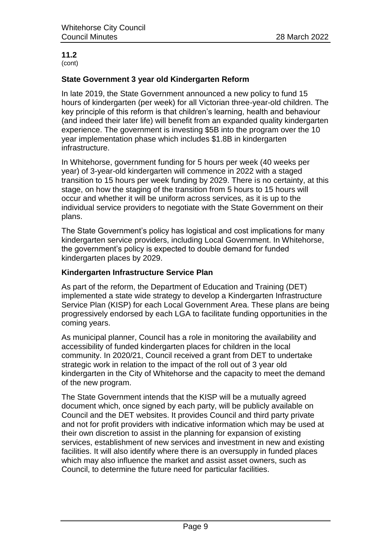(cont)

#### **State Government 3 year old Kindergarten Reform**

In late 2019, the State Government announced a new policy to fund 15 hours of kindergarten (per week) for all Victorian three-year-old children. The key principle of this reform is that children's learning, health and behaviour (and indeed their later life) will benefit from an expanded quality kindergarten experience. The government is investing \$5B into the program over the 10 year implementation phase which includes \$1.8B in kindergarten infrastructure.

In Whitehorse, government funding for 5 hours per week (40 weeks per year) of 3-year-old kindergarten will commence in 2022 with a staged transition to 15 hours per week funding by 2029. There is no certainty, at this stage, on how the staging of the transition from 5 hours to 15 hours will occur and whether it will be uniform across services, as it is up to the individual service providers to negotiate with the State Government on their plans.

The State Government's policy has logistical and cost implications for many kindergarten service providers, including Local Government. In Whitehorse, the government's policy is expected to double demand for funded kindergarten places by 2029.

#### **Kindergarten Infrastructure Service Plan**

As part of the reform, the Department of Education and Training (DET) implemented a state wide strategy to develop a Kindergarten Infrastructure Service Plan (KISP) for each Local Government Area. These plans are being progressively endorsed by each LGA to facilitate funding opportunities in the coming years.

As municipal planner, Council has a role in monitoring the availability and accessibility of funded kindergarten places for children in the local community. In 2020/21, Council received a grant from DET to undertake strategic work in relation to the impact of the roll out of 3 year old kindergarten in the City of Whitehorse and the capacity to meet the demand of the new program.

The State Government intends that the KISP will be a mutually agreed document which, once signed by each party, will be publicly available on Council and the DET websites. It provides Council and third party private and not for profit providers with indicative information which may be used at their own discretion to assist in the planning for expansion of existing services, establishment of new services and investment in new and existing facilities. It will also identify where there is an oversupply in funded places which may also influence the market and assist asset owners, such as Council, to determine the future need for particular facilities.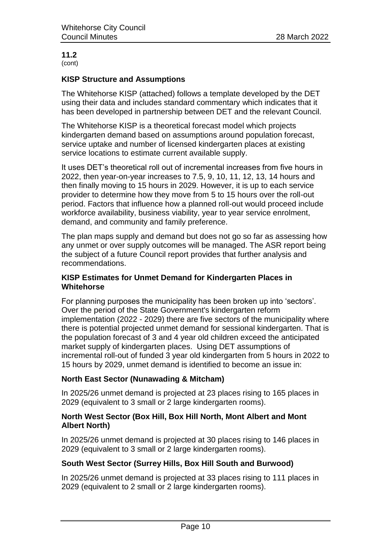#### **11.2** (cont)

**KISP Structure and Assumptions** 

The Whitehorse KISP (attached) follows a template developed by the DET using their data and includes standard commentary which indicates that it has been developed in partnership between DET and the relevant Council.

The Whitehorse KISP is a theoretical forecast model which projects kindergarten demand based on assumptions around population forecast, service uptake and number of licensed kindergarten places at existing service locations to estimate current available supply.

It uses DET's theoretical roll out of incremental increases from five hours in 2022, then year-on-year increases to 7.5, 9, 10, 11, 12, 13, 14 hours and then finally moving to 15 hours in 2029. However, it is up to each service provider to determine how they move from 5 to 15 hours over the roll-out period. Factors that influence how a planned roll-out would proceed include workforce availability, business viability, year to year service enrolment, demand, and community and family preference.

The plan maps supply and demand but does not go so far as assessing how any unmet or over supply outcomes will be managed. The ASR report being the subject of a future Council report provides that further analysis and recommendations.

#### **KISP Estimates for Unmet Demand for Kindergarten Places in Whitehorse**

For planning purposes the municipality has been broken up into 'sectors'. Over the period of the State Government's kindergarten reform implementation (2022 - 2029) there are five sectors of the municipality where there is potential projected unmet demand for sessional kindergarten. That is the population forecast of 3 and 4 year old children exceed the anticipated market supply of kindergarten places. Using DET assumptions of incremental roll-out of funded 3 year old kindergarten from 5 hours in 2022 to 15 hours by 2029, unmet demand is identified to become an issue in:

#### **North East Sector (Nunawading & Mitcham)**

In 2025/26 unmet demand is projected at 23 places rising to 165 places in 2029 (equivalent to 3 small or 2 large kindergarten rooms).

#### **North West Sector (Box Hill, Box Hill North, Mont Albert and Mont Albert North)**

In 2025/26 unmet demand is projected at 30 places rising to 146 places in 2029 (equivalent to 3 small or 2 large kindergarten rooms).

#### **South West Sector (Surrey Hills, Box Hill South and Burwood)**

In 2025/26 unmet demand is projected at 33 places rising to 111 places in 2029 (equivalent to 2 small or 2 large kindergarten rooms).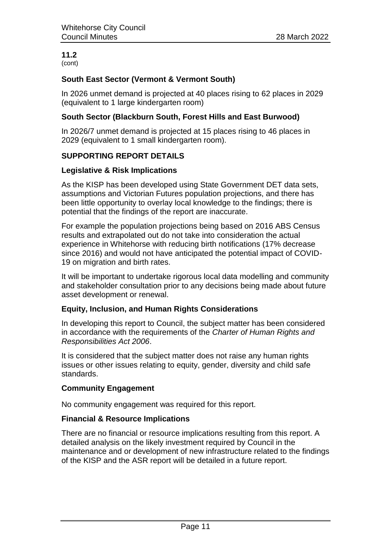#### **11.2** (cont)

#### **South East Sector (Vermont & Vermont South)**

In 2026 unmet demand is projected at 40 places rising to 62 places in 2029 (equivalent to 1 large kindergarten room)

#### **South Sector (Blackburn South, Forest Hills and East Burwood)**

In 2026/7 unmet demand is projected at 15 places rising to 46 places in 2029 (equivalent to 1 small kindergarten room).

#### **SUPPORTING REPORT DETAILS**

#### **Legislative & Risk Implications**

As the KISP has been developed using State Government DET data sets, assumptions and Victorian Futures population projections, and there has been little opportunity to overlay local knowledge to the findings; there is potential that the findings of the report are inaccurate.

For example the population projections being based on 2016 ABS Census results and extrapolated out do not take into consideration the actual experience in Whitehorse with reducing birth notifications (17% decrease since 2016) and would not have anticipated the potential impact of COVID-19 on migration and birth rates.

It will be important to undertake rigorous local data modelling and community and stakeholder consultation prior to any decisions being made about future asset development or renewal.

#### **Equity, Inclusion, and Human Rights Considerations**

In developing this report to Council, the subject matter has been considered in accordance with the requirements of the *Charter of Human Rights and Responsibilities Act 2006*.

It is considered that the subject matter does not raise any human rights issues or other issues relating to equity, gender, diversity and child safe standards.

#### **Community Engagement**

No community engagement was required for this report.

#### **Financial & Resource Implications**

There are no financial or resource implications resulting from this report. A detailed analysis on the likely investment required by Council in the maintenance and or development of new infrastructure related to the findings of the KISP and the ASR report will be detailed in a future report.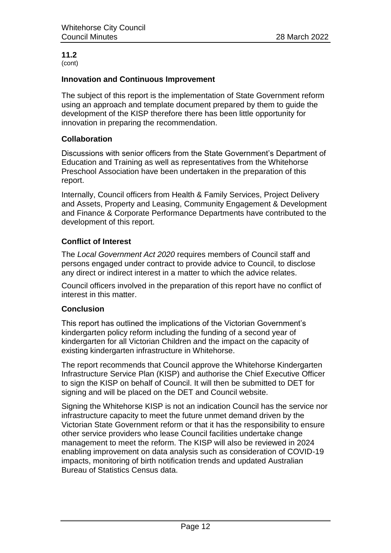(cont)

#### **Innovation and Continuous Improvement**

The subject of this report is the implementation of State Government reform using an approach and template document prepared by them to guide the development of the KISP therefore there has been little opportunity for innovation in preparing the recommendation.

#### **Collaboration**

Discussions with senior officers from the State Government's Department of Education and Training as well as representatives from the Whitehorse Preschool Association have been undertaken in the preparation of this report.

Internally, Council officers from Health & Family Services, Project Delivery and Assets, Property and Leasing, Community Engagement & Development and Finance & Corporate Performance Departments have contributed to the development of this report.

#### **Conflict of Interest**

The *Local Government Act 2020* requires members of Council staff and persons engaged under contract to provide advice to Council, to disclose any direct or indirect interest in a matter to which the advice relates.

Council officers involved in the preparation of this report have no conflict of interest in this matter.

#### **Conclusion**

This report has outlined the implications of the Victorian Government's kindergarten policy reform including the funding of a second year of kindergarten for all Victorian Children and the impact on the capacity of existing kindergarten infrastructure in Whitehorse.

The report recommends that Council approve the Whitehorse Kindergarten Infrastructure Service Plan (KISP) and authorise the Chief Executive Officer to sign the KISP on behalf of Council. It will then be submitted to DET for signing and will be placed on the DET and Council website.

Signing the Whitehorse KISP is not an indication Council has the service nor infrastructure capacity to meet the future unmet demand driven by the Victorian State Government reform or that it has the responsibility to ensure other service providers who lease Council facilities undertake change management to meet the reform. The KISP will also be reviewed in 2024 enabling improvement on data analysis such as consideration of COVID-19 impacts, monitoring of birth notification trends and updated Australian Bureau of Statistics Census data.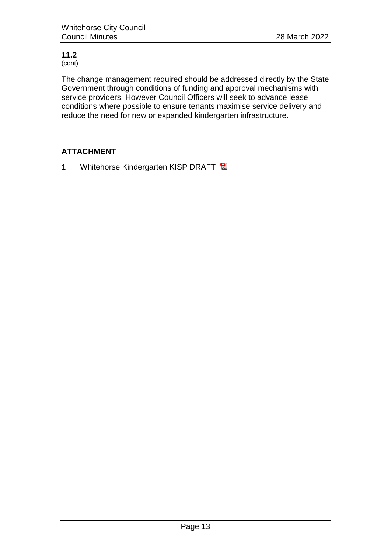(cont)

The change management required should be addressed directly by the State Government through conditions of funding and approval mechanisms with service providers. However Council Officers will seek to advance lease conditions where possible to ensure tenants maximise service delivery and reduce the need for new or expanded kindergarten infrastructure.

# **ATTACHMENT**

1 Whitehorse Kindergarten KISP DRAFT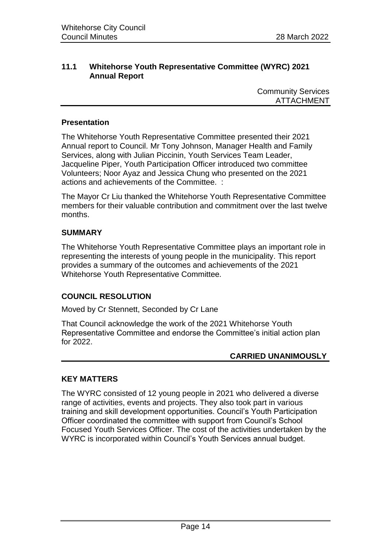#### <span id="page-15-0"></span>**11.1 Whitehorse Youth Representative Committee (WYRC) 2021 Annual Report**

Community Services ATTACHMENT

#### **Presentation**

The Whitehorse Youth Representative Committee presented their 2021 Annual report to Council. Mr Tony Johnson, Manager Health and Family Services, along with Julian Piccinin, Youth Services Team Leader, Jacqueline Piper, Youth Participation Officer introduced two committee Volunteers; Noor Ayaz and Jessica Chung who presented on the 2021 actions and achievements of the Committee. :

The Mayor Cr Liu thanked the Whitehorse Youth Representative Committee members for their valuable contribution and commitment over the last twelve months.

#### **SUMMARY**

The Whitehorse Youth Representative Committee plays an important role in representing the interests of young people in the municipality. This report provides a summary of the outcomes and achievements of the 2021 Whitehorse Youth Representative Committee*.*

#### **COUNCIL RESOLUTION**

Moved by Cr Stennett, Seconded by Cr Lane

That Council acknowledge the work of the 2021 Whitehorse Youth Representative Committee and endorse the Committee's initial action plan for 2022.

#### **CARRIED UNANIMOUSLY**

#### **KEY MATTERS**

The WYRC consisted of 12 young people in 2021 who delivered a diverse range of activities, events and projects. They also took part in various training and skill development opportunities. Council's Youth Participation Officer coordinated the committee with support from Council's School Focused Youth Services Officer. The cost of the activities undertaken by the WYRC is incorporated within Council's Youth Services annual budget.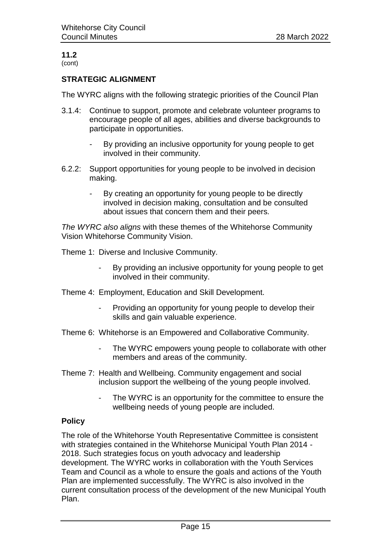#### **11.2** (cont)

#### **STRATEGIC ALIGNMENT**

The WYRC aligns with the following strategic priorities of the Council Plan

- 3.1.4: Continue to support, promote and celebrate volunteer programs to encourage people of all ages, abilities and diverse backgrounds to participate in opportunities.
	- *-* By providing an inclusive opportunity for young people to get involved in their community.
- 6.2.2: Support opportunities for young people to be involved in decision making.
	- *-* By creating an opportunity for young people to be directly involved in decision making, consultation and be consulted about issues that concern them and their peers*.*

*The WYRC also aligns* with these themes of the Whitehorse Community Vision Whitehorse Community Vision.

Theme 1: Diverse and Inclusive Community.

- By providing an inclusive opportunity for young people to get involved in their community.
- Theme 4: Employment, Education and Skill Development.
	- Providing an opportunity for young people to develop their skills and gain valuable experience.
- Theme 6: Whitehorse is an Empowered and Collaborative Community.
	- The WYRC empowers young people to collaborate with other members and areas of the community.
- Theme 7: Health and Wellbeing. Community engagement and social inclusion support the wellbeing of the young people involved.
	- The WYRC is an opportunity for the committee to ensure the wellbeing needs of young people are included.

#### **Policy**

The role of the Whitehorse Youth Representative Committee is consistent with strategies contained in the Whitehorse Municipal Youth Plan 2014 - 2018. Such strategies focus on youth advocacy and leadership development. The WYRC works in collaboration with the Youth Services Team and Council as a whole to ensure the goals and actions of the Youth Plan are implemented successfully. The WYRC is also involved in the current consultation process of the development of the new Municipal Youth Plan.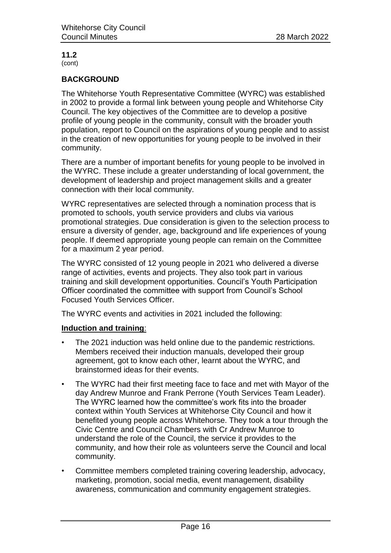#### **11.2** (cont)

#### **BACKGROUND**

The Whitehorse Youth Representative Committee (WYRC) was established in 2002 to provide a formal link between young people and Whitehorse City Council. The key objectives of the Committee are to develop a positive profile of young people in the community, consult with the broader youth population, report to Council on the aspirations of young people and to assist in the creation of new opportunities for young people to be involved in their community.

There are a number of important benefits for young people to be involved in the WYRC. These include a greater understanding of local government, the development of leadership and project management skills and a greater connection with their local community.

WYRC representatives are selected through a nomination process that is promoted to schools, youth service providers and clubs via various promotional strategies. Due consideration is given to the selection process to ensure a diversity of gender, age, background and life experiences of young people. If deemed appropriate young people can remain on the Committee for a maximum 2 year period.

The WYRC consisted of 12 young people in 2021 who delivered a diverse range of activities, events and projects. They also took part in various training and skill development opportunities. Council's Youth Participation Officer coordinated the committee with support from Council's School Focused Youth Services Officer.

The WYRC events and activities in 2021 included the following:

#### **Induction and training**:

- The 2021 induction was held online due to the pandemic restrictions. Members received their induction manuals, developed their group agreement, got to know each other, learnt about the WYRC, and brainstormed ideas for their events.
- The WYRC had their first meeting face to face and met with Mayor of the day Andrew Munroe and Frank Perrone (Youth Services Team Leader). The WYRC learned how the committee's work fits into the broader context within Youth Services at Whitehorse City Council and how it benefited young people across Whitehorse. They took a tour through the Civic Centre and Council Chambers with Cr Andrew Munroe to understand the role of the Council, the service it provides to the community, and how their role as volunteers serve the Council and local community.
- Committee members completed training covering leadership, advocacy, marketing, promotion, social media, event management, disability awareness, communication and community engagement strategies.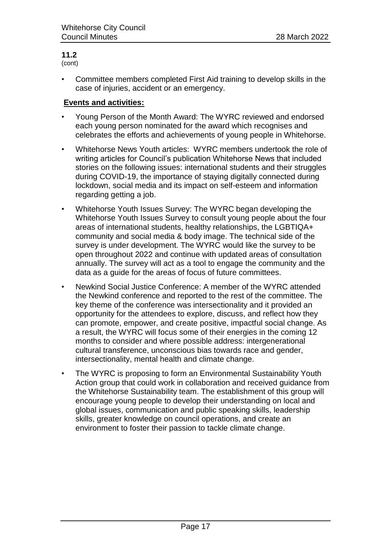(cont)

• Committee members completed First Aid training to develop skills in the case of injuries, accident or an emergency.

#### **Events and activities:**

- Young Person of the Month Award: The WYRC reviewed and endorsed each young person nominated for the award which recognises and celebrates the efforts and achievements of young people in Whitehorse.
- Whitehorse News Youth articles: WYRC members undertook the role of writing articles for Council's publication Whitehorse News that included stories on the following issues: international students and their struggles during COVID-19, the importance of staying digitally connected during lockdown, social media and its impact on self-esteem and information regarding getting a job.
- Whitehorse Youth Issues Survey: The WYRC began developing the Whitehorse Youth Issues Survey to consult young people about the four areas of international students, healthy relationships, the LGBTIQA+ community and social media & body image. The technical side of the survey is under development. The WYRC would like the survey to be open throughout 2022 and continue with updated areas of consultation annually. The survey will act as a tool to engage the community and the data as a guide for the areas of focus of future committees.
- Newkind Social Justice Conference: A member of the WYRC attended the Newkind conference and reported to the rest of the committee. The key theme of the conference was intersectionality and it provided an opportunity for the attendees to explore, discuss, and reflect how they can promote, empower, and create positive, impactful social change. As a result, the WYRC will focus some of their energies in the coming 12 months to consider and where possible address: intergenerational cultural transference, unconscious bias towards race and gender, intersectionality, mental health and climate change.
- The WYRC is proposing to form an Environmental Sustainability Youth Action group that could work in collaboration and received guidance from the Whitehorse Sustainability team. The establishment of this group will encourage young people to develop their understanding on local and global issues, communication and public speaking skills, leadership skills, greater knowledge on council operations, and create an environment to foster their passion to tackle climate change.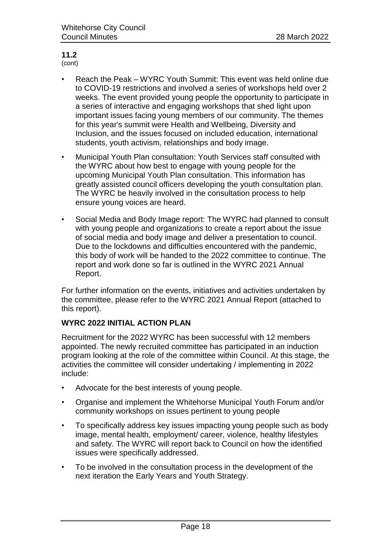(cont)

- Reach the Peak WYRC Youth Summit: This event was held online due to COVID-19 restrictions and involved a series of workshops held over 2 weeks. The event provided young people the opportunity to participate in a series of interactive and engaging workshops that shed light upon important issues facing young members of our community. The themes for this year's summit were Health and Wellbeing, Diversity and Inclusion, and the issues focused on included education, international students, youth activism, relationships and body image.
- Municipal Youth Plan consultation: Youth Services staff consulted with the WYRC about how best to engage with young people for the upcoming Municipal Youth Plan consultation. This information has greatly assisted council officers developing the youth consultation plan. The WYRC be heavily involved in the consultation process to help ensure young voices are heard.
- Social Media and Body Image report: The WYRC had planned to consult with young people and organizations to create a report about the issue of social media and body image and deliver a presentation to council. Due to the lockdowns and difficulties encountered with the pandemic, this body of work will be handed to the 2022 committee to continue. The report and work done so far is outlined in the WYRC 2021 Annual Report.

For further information on the events, initiatives and activities undertaken by the committee, please refer to the WYRC 2021 Annual Report (attached to this report).

#### **WYRC 2022 INITIAL ACTION PLAN**

Recruitment for the 2022 WYRC has been successful with 12 members appointed. The newly recruited committee has participated in an induction program looking at the role of the committee within Council. At this stage, the activities the committee will consider undertaking / implementing in 2022 include:

- Advocate for the best interests of young people.
- Organise and implement the Whitehorse Municipal Youth Forum and/or community workshops on issues pertinent to young people
- To specifically address key issues impacting young people such as body image, mental health, employment/ career, violence, healthy lifestyles and safety. The WYRC will report back to Council on how the identified issues were specifically addressed.
- To be involved in the consultation process in the development of the next iteration the Early Years and Youth Strategy.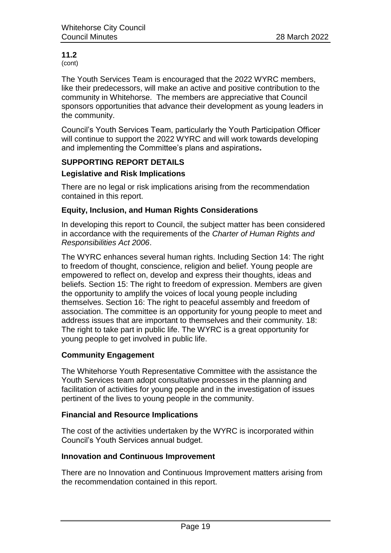(cont)

The Youth Services Team is encouraged that the 2022 WYRC members, like their predecessors, will make an active and positive contribution to the community in Whitehorse. The members are appreciative that Council sponsors opportunities that advance their development as young leaders in the community.

Council's Youth Services Team, particularly the Youth Participation Officer will continue to support the 2022 WYRC and will work towards developing and implementing the Committee's plans and aspirations**.**

#### **SUPPORTING REPORT DETAILS**

#### **Legislative and Risk Implications**

There are no legal or risk implications arising from the recommendation contained in this report.

#### **Equity, Inclusion, and Human Rights Considerations**

In developing this report to Council, the subject matter has been considered in accordance with the requirements of the *Charter of Human Rights and Responsibilities Act 2006*.

The WYRC enhances several human rights. Including Section 14: The right to freedom of thought, conscience, religion and belief. Young people are empowered to reflect on, develop and express their thoughts, ideas and beliefs. Section 15: The right to freedom of expression. Members are given the opportunity to amplify the voices of local young people including themselves. Section 16: The right to peaceful assembly and freedom of association. The committee is an opportunity for young people to meet and address issues that are important to themselves and their community. 18: The right to take part in public life. The WYRC is a great opportunity for young people to get involved in public life.

#### **Community Engagement**

The Whitehorse Youth Representative Committee with the assistance the Youth Services team adopt consultative processes in the planning and facilitation of activities for young people and in the investigation of issues pertinent of the lives to young people in the community.

#### **Financial and Resource Implications**

The cost of the activities undertaken by the WYRC is incorporated within Council's Youth Services annual budget.

#### **Innovation and Continuous Improvement**

There are no Innovation and Continuous Improvement matters arising from the recommendation contained in this report.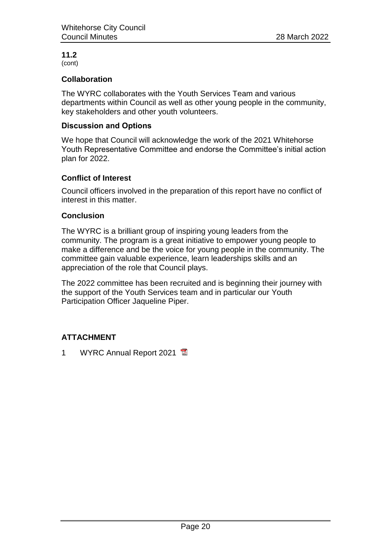#### **11.2** (cont)

#### **Collaboration**

The WYRC collaborates with the Youth Services Team and various departments within Council as well as other young people in the community, key stakeholders and other youth volunteers.

#### **Discussion and Options**

We hope that Council will acknowledge the work of the 2021 Whitehorse Youth Representative Committee and endorse the Committee's initial action plan for 2022.

#### **Conflict of Interest**

Council officers involved in the preparation of this report have no conflict of interest in this matter.

#### **Conclusion**

The WYRC is a brilliant group of inspiring young leaders from the community. The program is a great initiative to empower young people to make a difference and be the voice for young people in the community. The committee gain valuable experience, learn leaderships skills and an appreciation of the role that Council plays.

The 2022 committee has been recruited and is beginning their journey with the support of the Youth Services team and in particular our Youth Participation Officer Jaqueline Piper.

#### **ATTACHMENT**

1 WYRC Annual Report 2021 **图**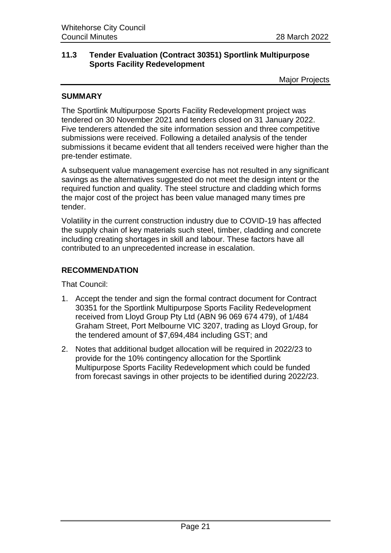#### <span id="page-22-0"></span>**11.3 Tender Evaluation (Contract 30351) Sportlink Multipurpose Sports Facility Redevelopment**

Major Projects

#### **SUMMARY**

The Sportlink Multipurpose Sports Facility Redevelopment project was tendered on 30 November 2021 and tenders closed on 31 January 2022. Five tenderers attended the site information session and three competitive submissions were received. Following a detailed analysis of the tender submissions it became evident that all tenders received were higher than the pre-tender estimate.

A subsequent value management exercise has not resulted in any significant savings as the alternatives suggested do not meet the design intent or the required function and quality. The steel structure and cladding which forms the major cost of the project has been value managed many times pre tender.

Volatility in the current construction industry due to COVID-19 has affected the supply chain of key materials such steel, timber, cladding and concrete including creating shortages in skill and labour. These factors have all contributed to an unprecedented increase in escalation.

#### **RECOMMENDATION**

That Council:

- 1. Accept the tender and sign the formal contract document for Contract 30351 for the Sportlink Multipurpose Sports Facility Redevelopment received from Lloyd Group Pty Ltd (ABN 96 069 674 479), of 1/484 Graham Street, Port Melbourne VIC 3207, trading as Lloyd Group, for the tendered amount of \$7,694,484 including GST; and
- 2. Notes that additional budget allocation will be required in 2022/23 to provide for the 10% contingency allocation for the Sportlink Multipurpose Sports Facility Redevelopment which could be funded from forecast savings in other projects to be identified during 2022/23.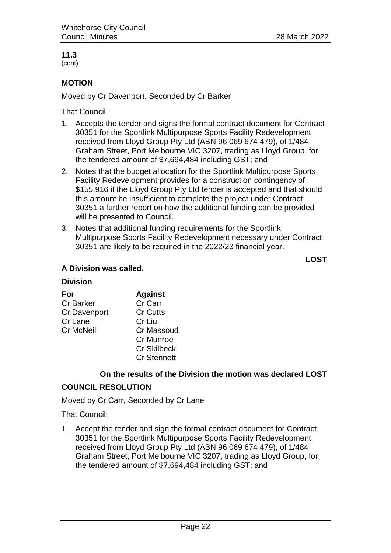(cont)

#### **MOTION**

Moved by Cr Davenport, Seconded by Cr Barker

That Council

- 1. Accepts the tender and signs the formal contract document for Contract 30351 for the Sportlink Multipurpose Sports Facility Redevelopment received from Lloyd Group Pty Ltd (ABN 96 069 674 479), of 1/484 Graham Street, Port Melbourne VIC 3207, trading as Lloyd Group, for the tendered amount of \$7,694,484 including GST; and
- 2. Notes that the budget allocation for the Sportlink Multipurpose Sports Facility Redevelopment provides for a construction contingency of \$155,916 if the Lloyd Group Pty Ltd tender is accepted and that should this amount be insufficient to complete the project under Contract 30351 a further report on how the additional funding can be provided will be presented to Council.
- 3. Notes that additional funding requirements for the Sportlink Multipurpose Sports Facility Redevelopment necessary under Contract 30351 are likely to be required in the 2022/23 financial year.

**LOST**

#### **A Division was called.**

#### **Division**

| For                 | <b>Against</b>     |
|---------------------|--------------------|
| <b>Cr Barker</b>    | Cr Carr            |
| <b>Cr Davenport</b> | <b>Cr Cutts</b>    |
| Cr Lane             | Cr Liu             |
| <b>Cr McNeill</b>   | <b>Cr Massoud</b>  |
|                     | Cr Munroe          |
|                     | <b>Cr Skilbeck</b> |
|                     | <b>Cr Stennett</b> |

#### **On the results of the Division the motion was declared LOST**

#### **COUNCIL RESOLUTION**

Moved by Cr Carr, Seconded by Cr Lane

That Council:

1. Accept the tender and sign the formal contract document for Contract 30351 for the Sportlink Multipurpose Sports Facility Redevelopment received from Lloyd Group Pty Ltd (ABN 96 069 674 479), of 1/484 Graham Street, Port Melbourne VIC 3207, trading as Lloyd Group, for the tendered amount of \$7,694,484 including GST; and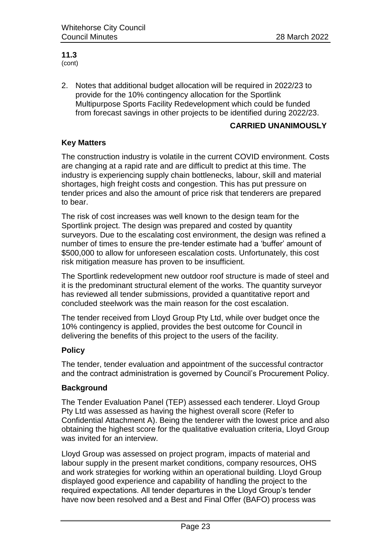#### **11.3** (cont)

2. Notes that additional budget allocation will be required in 2022/23 to provide for the 10% contingency allocation for the Sportlink Multipurpose Sports Facility Redevelopment which could be funded from forecast savings in other projects to be identified during 2022/23.

#### **CARRIED UNANIMOUSLY**

#### **Key Matters**

The construction industry is volatile in the current COVID environment. Costs are changing at a rapid rate and are difficult to predict at this time. The industry is experiencing supply chain bottlenecks, labour, skill and material shortages, high freight costs and congestion. This has put pressure on tender prices and also the amount of price risk that tenderers are prepared to bear.

The risk of cost increases was well known to the design team for the Sportlink project. The design was prepared and costed by quantity surveyors. Due to the escalating cost environment, the design was refined a number of times to ensure the pre-tender estimate had a 'buffer' amount of \$500,000 to allow for unforeseen escalation costs. Unfortunately, this cost risk mitigation measure has proven to be insufficient.

The Sportlink redevelopment new outdoor roof structure is made of steel and it is the predominant structural element of the works. The quantity surveyor has reviewed all tender submissions, provided a quantitative report and concluded steelwork was the main reason for the cost escalation.

The tender received from Lloyd Group Pty Ltd, while over budget once the 10% contingency is applied, provides the best outcome for Council in delivering the benefits of this project to the users of the facility.

#### **Policy**

The tender, tender evaluation and appointment of the successful contractor and the contract administration is governed by Council's Procurement Policy.

#### **Background**

The Tender Evaluation Panel (TEP) assessed each tenderer. Lloyd Group Pty Ltd was assessed as having the highest overall score (Refer to Confidential Attachment A). Being the tenderer with the lowest price and also obtaining the highest score for the qualitative evaluation criteria, Lloyd Group was invited for an interview.

Lloyd Group was assessed on project program, impacts of material and labour supply in the present market conditions, company resources, OHS and work strategies for working within an operational building. Lloyd Group displayed good experience and capability of handling the project to the required expectations. All tender departures in the Lloyd Group's tender have now been resolved and a Best and Final Offer (BAFO) process was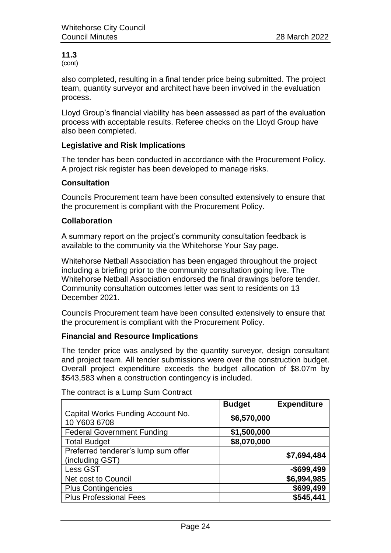(cont)

also completed, resulting in a final tender price being submitted. The project team, quantity surveyor and architect have been involved in the evaluation process.

Lloyd Group's financial viability has been assessed as part of the evaluation process with acceptable results. Referee checks on the Lloyd Group have also been completed.

#### **Legislative and Risk Implications**

The tender has been conducted in accordance with the Procurement Policy. A project risk register has been developed to manage risks.

#### **Consultation**

Councils Procurement team have been consulted extensively to ensure that the procurement is compliant with the Procurement Policy.

#### **Collaboration**

A summary report on the project's community consultation feedback is available to the community via the Whitehorse Your Say page.

Whitehorse Netball Association has been engaged throughout the project including a briefing prior to the community consultation going live. The Whitehorse Netball Association endorsed the final drawings before tender. Community consultation outcomes letter was sent to residents on 13 December 2021.

Councils Procurement team have been consulted extensively to ensure that the procurement is compliant with the Procurement Policy.

#### **Financial and Resource Implications**

The tender price was analysed by the quantity surveyor, design consultant and project team. All tender submissions were over the construction budget. Overall project expenditure exceeds the budget allocation of \$8.07m by \$543,583 when a construction contingency is included.

|                                                        | <b>Budget</b> | <b>Expenditure</b> |
|--------------------------------------------------------|---------------|--------------------|
| Capital Works Funding Account No.<br>10 Y603 6708      | \$6,570,000   |                    |
| <b>Federal Government Funding</b>                      | \$1,500,000   |                    |
| <b>Total Budget</b>                                    | \$8,070,000   |                    |
| Preferred tenderer's lump sum offer<br>(including GST) |               | \$7,694,484        |
| Less GST                                               |               | $-$699,499$        |
| Net cost to Council                                    |               | \$6,994,985        |
| <b>Plus Contingencies</b>                              |               | \$699,499          |
| <b>Plus Professional Fees</b>                          |               | \$545,441          |

The contract is a Lump Sum Contract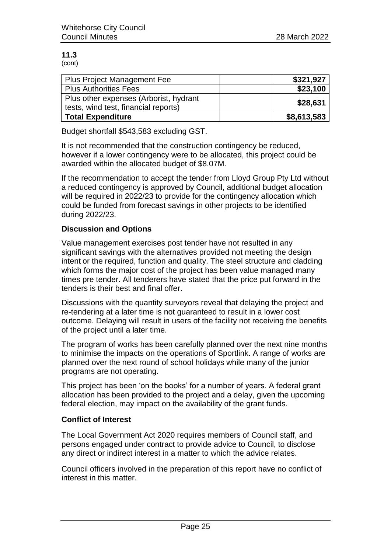(cont)

| <b>Plus Project Management Fee</b>     | \$321,927   |
|----------------------------------------|-------------|
| <b>Plus Authorities Fees</b>           | \$23,100    |
| Plus other expenses (Arborist, hydrant | \$28,631    |
| tests, wind test, financial reports)   |             |
| <b>Total Expenditure</b>               | \$8,613,583 |

Budget shortfall \$543,583 excluding GST.

It is not recommended that the construction contingency be reduced, however if a lower contingency were to be allocated, this project could be awarded within the allocated budget of \$8.07M.

If the recommendation to accept the tender from Lloyd Group Pty Ltd without a reduced contingency is approved by Council, additional budget allocation will be required in 2022/23 to provide for the contingency allocation which could be funded from forecast savings in other projects to be identified during 2022/23.

#### **Discussion and Options**

Value management exercises post tender have not resulted in any significant savings with the alternatives provided not meeting the design intent or the required, function and quality. The steel structure and cladding which forms the major cost of the project has been value managed many times pre tender. All tenderers have stated that the price put forward in the tenders is their best and final offer.

Discussions with the quantity surveyors reveal that delaying the project and re-tendering at a later time is not guaranteed to result in a lower cost outcome. Delaying will result in users of the facility not receiving the benefits of the project until a later time.

The program of works has been carefully planned over the next nine months to minimise the impacts on the operations of Sportlink. A range of works are planned over the next round of school holidays while many of the junior programs are not operating.

This project has been 'on the books' for a number of years. A federal grant allocation has been provided to the project and a delay, given the upcoming federal election, may impact on the availability of the grant funds.

#### **Conflict of Interest**

The Local Government Act 2020 requires members of Council staff, and persons engaged under contract to provide advice to Council, to disclose any direct or indirect interest in a matter to which the advice relates.

Council officers involved in the preparation of this report have no conflict of interest in this matter.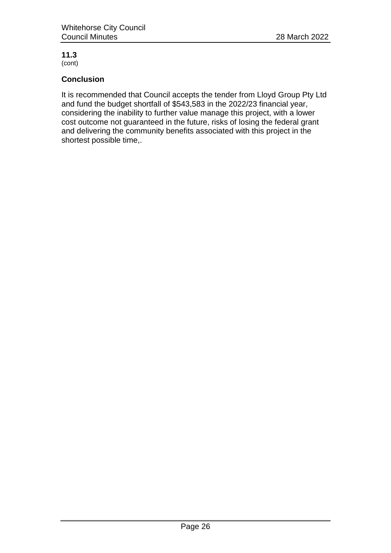(cont)

#### **Conclusion**

It is recommended that Council accepts the tender from Lloyd Group Pty Ltd and fund the budget shortfall of \$543,583 in the 2022/23 financial year, considering the inability to further value manage this project, with a lower cost outcome not guaranteed in the future, risks of losing the federal grant and delivering the community benefits associated with this project in the shortest possible time,.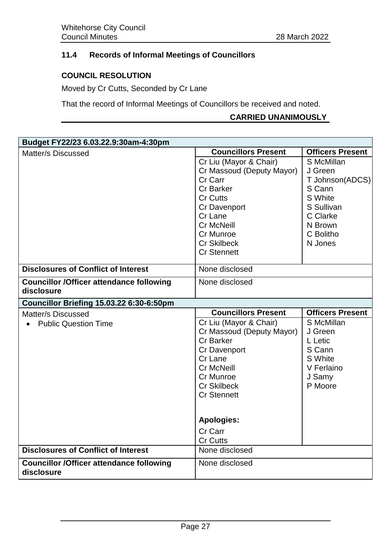#### <span id="page-28-0"></span>**11.4 Records of Informal Meetings of Councillors**

#### **COUNCIL RESOLUTION**

Moved by Cr Cutts, Seconded by Cr Lane

That the record of Informal Meetings of Councillors be received and noted.

#### **CARRIED UNANIMOUSLY**

| Budget FY22/23 6.03.22.9:30am-4:30pm                                                          |                                  |                         |  |
|-----------------------------------------------------------------------------------------------|----------------------------------|-------------------------|--|
| Matter/s Discussed                                                                            | <b>Councillors Present</b>       | <b>Officers Present</b> |  |
|                                                                                               | Cr Liu (Mayor & Chair)           | S McMillan              |  |
|                                                                                               | Cr Massoud (Deputy Mayor)        | J Green                 |  |
|                                                                                               | Cr Carr                          | T Johnson(ADCS)         |  |
|                                                                                               | <b>Cr Barker</b>                 | S Cann                  |  |
|                                                                                               | <b>Cr Cutts</b>                  | S White                 |  |
|                                                                                               | Cr Davenport                     | S Sullivan              |  |
|                                                                                               | Cr Lane                          | C Clarke                |  |
|                                                                                               | <b>Cr McNeill</b>                | N Brown                 |  |
|                                                                                               | Cr Munroe                        | C Bolitho               |  |
|                                                                                               | <b>Cr Skilbeck</b>               | N Jones                 |  |
|                                                                                               | <b>Cr Stennett</b>               |                         |  |
| <b>Disclosures of Conflict of Interest</b>                                                    | None disclosed                   |                         |  |
| <b>Councillor /Officer attendance following</b>                                               | None disclosed                   |                         |  |
| disclosure                                                                                    |                                  |                         |  |
| Councillor Briefing 15.03.22 6:30-6:50pm                                                      |                                  |                         |  |
|                                                                                               |                                  |                         |  |
| Matter/s Discussed                                                                            | <b>Councillors Present</b>       | <b>Officers Present</b> |  |
| <b>Public Question Time</b>                                                                   | Cr Liu (Mayor & Chair)           | S McMillan              |  |
|                                                                                               | Cr Massoud (Deputy Mayor)        | J Green                 |  |
|                                                                                               | <b>Cr Barker</b>                 | L Letic                 |  |
|                                                                                               | <b>Cr Davenport</b>              | S Cann                  |  |
|                                                                                               | Cr Lane                          | S White                 |  |
|                                                                                               | <b>Cr McNeill</b>                | V Ferlaino              |  |
|                                                                                               | Cr Munroe                        | J Samy                  |  |
|                                                                                               | <b>Cr Skilbeck</b>               | P Moore                 |  |
|                                                                                               | <b>Cr Stennett</b>               |                         |  |
|                                                                                               |                                  |                         |  |
|                                                                                               | <b>Apologies:</b>                |                         |  |
|                                                                                               | Cr Carr                          |                         |  |
|                                                                                               | <b>Cr Cutts</b>                  |                         |  |
| <b>Disclosures of Conflict of Interest</b><br><b>Councillor /Officer attendance following</b> | None disclosed<br>None disclosed |                         |  |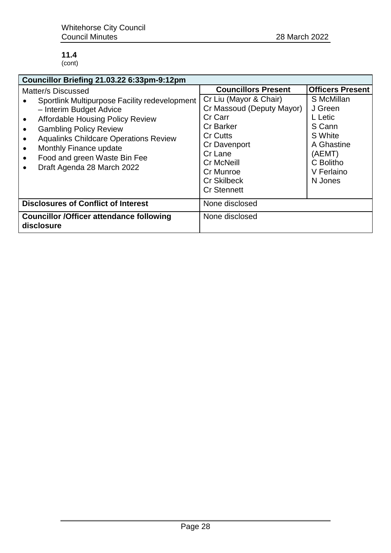#### **11.4** (cont)

| Councillor Briefing 21.03.22 6:33pm-9:12pm                                                                                                                                                                                                                                                                                                                                 |                                                                                                                                                                                                                |                                                                                                                     |  |  |  |
|----------------------------------------------------------------------------------------------------------------------------------------------------------------------------------------------------------------------------------------------------------------------------------------------------------------------------------------------------------------------------|----------------------------------------------------------------------------------------------------------------------------------------------------------------------------------------------------------------|---------------------------------------------------------------------------------------------------------------------|--|--|--|
| Matter/s Discussed                                                                                                                                                                                                                                                                                                                                                         | <b>Councillors Present</b>                                                                                                                                                                                     | <b>Officers Present</b>                                                                                             |  |  |  |
| Sportlink Multipurpose Facility redevelopment<br>- Interim Budget Advice<br><b>Affordable Housing Policy Review</b><br>$\bullet$<br><b>Gambling Policy Review</b><br>$\bullet$<br><b>Aqualinks Childcare Operations Review</b><br>$\bullet$<br>Monthly Finance update<br>$\bullet$<br>Food and green Waste Bin Fee<br>$\bullet$<br>Draft Agenda 28 March 2022<br>$\bullet$ | Cr Liu (Mayor & Chair)<br>Cr Massoud (Deputy Mayor)<br>Cr Carr<br><b>Cr Barker</b><br><b>Cr Cutts</b><br>Cr Davenport<br>Cr Lane<br><b>Cr McNeill</b><br>Cr Munroe<br><b>Cr Skilbeck</b><br><b>Cr Stennett</b> | S McMillan<br>J Green<br>L Letic<br>S Cann<br>S White<br>A Ghastine<br>(AEMT)<br>C Bolitho<br>V Ferlaino<br>N Jones |  |  |  |
| <b>Disclosures of Conflict of Interest</b>                                                                                                                                                                                                                                                                                                                                 | None disclosed                                                                                                                                                                                                 |                                                                                                                     |  |  |  |
| <b>Councillor /Officer attendance following</b><br>disclosure                                                                                                                                                                                                                                                                                                              | None disclosed                                                                                                                                                                                                 |                                                                                                                     |  |  |  |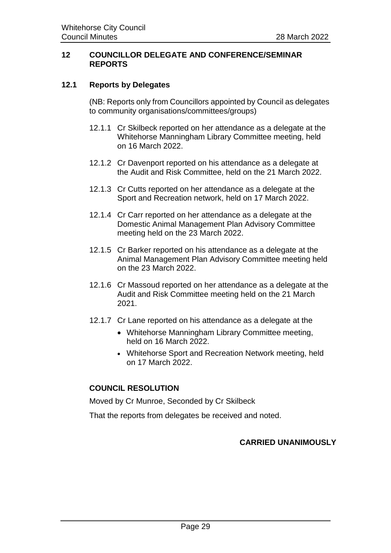#### <span id="page-30-0"></span>**12 COUNCILLOR DELEGATE AND CONFERENCE/SEMINAR REPORTS**

#### <span id="page-30-1"></span>**12.1 Reports by Delegates**

(NB: Reports only from Councillors appointed by Council as delegates to community organisations/committees/groups)

- 12.1.1 Cr Skilbeck reported on her attendance as a delegate at the Whitehorse Manningham Library Committee meeting, held on 16 March 2022.
- 12.1.2 Cr Davenport reported on his attendance as a delegate at the Audit and Risk Committee, held on the 21 March 2022.
- 12.1.3 Cr Cutts reported on her attendance as a delegate at the Sport and Recreation network, held on 17 March 2022.
- 12.1.4 Cr Carr reported on her attendance as a delegate at the Domestic Animal Management Plan Advisory Committee meeting held on the 23 March 2022.
- 12.1.5 Cr Barker reported on his attendance as a delegate at the Animal Management Plan Advisory Committee meeting held on the 23 March 2022.
- 12.1.6 Cr Massoud reported on her attendance as a delegate at the Audit and Risk Committee meeting held on the 21 March 2021.
- 12.1.7 Cr Lane reported on his attendance as a delegate at the
	- Whitehorse Manningham Library Committee meeting, held on 16 March 2022.
	- Whitehorse Sport and Recreation Network meeting, held on 17 March 2022.

#### **COUNCIL RESOLUTION**

Moved by Cr Munroe, Seconded by Cr Skilbeck

That the reports from delegates be received and noted.

#### **CARRIED UNANIMOUSLY**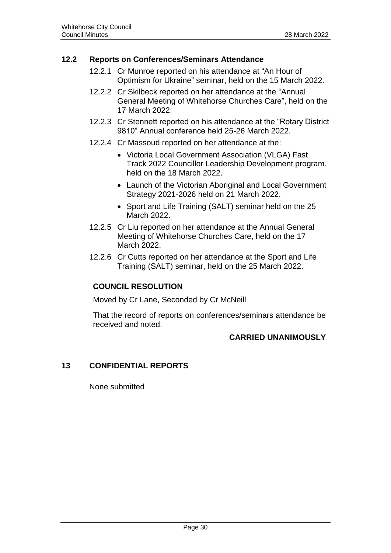#### <span id="page-31-0"></span>**12.2 Reports on Conferences/Seminars Attendance**

- 12.2.1 Cr Munroe reported on his attendance at "An Hour of Optimism for Ukraine" seminar, held on the 15 March 2022.
- 12.2.2 Cr Skilbeck reported on her attendance at the "Annual General Meeting of Whitehorse Churches Care", held on the 17 March 2022.
- 12.2.3 Cr Stennett reported on his attendance at the "Rotary District 9810" Annual conference held 25-26 March 2022.
- 12.2.4 Cr Massoud reported on her attendance at the:
	- Victoria Local Government Association (VLGA) Fast Track 2022 Councillor Leadership Development program, held on the 18 March 2022.
	- Launch of the Victorian Aboriginal and Local Government Strategy 2021-2026 held on 21 March 2022.
	- Sport and Life Training (SALT) seminar held on the 25 March 2022.
- 12.2.5 Cr Liu reported on her attendance at the Annual General Meeting of Whitehorse Churches Care, held on the 17 March 2022.
- 12.2.6 Cr Cutts reported on her attendance at the Sport and Life Training (SALT) seminar, held on the 25 March 2022.

#### **COUNCIL RESOLUTION**

Moved by Cr Lane, Seconded by Cr McNeill

That the record of reports on conferences/seminars attendance be received and noted.

#### **CARRIED UNANIMOUSLY**

#### <span id="page-31-1"></span>**13 CONFIDENTIAL REPORTS**

None submitted